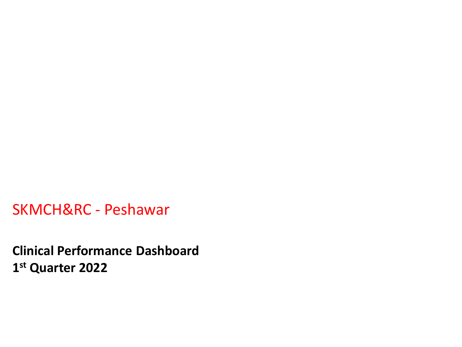SKMCH&RC - Peshawar

**Clinical Performance Dashboard 1 st Quarter 2022**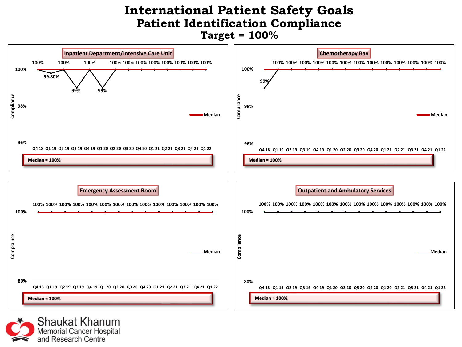#### **International Patient Safety Goals Patient Identification Compliance Target = 100%**



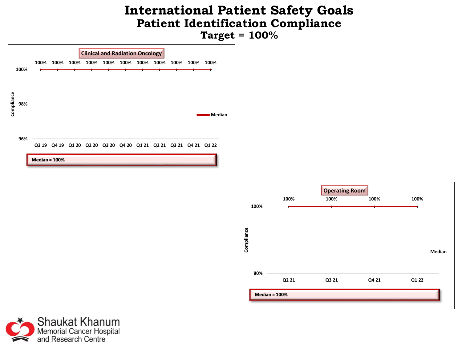#### **International Patient Safety Goals Patient Identification Compliance Target = 100%**





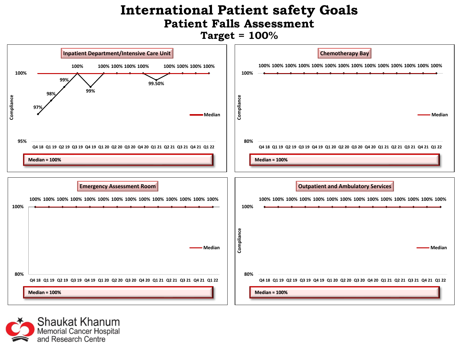#### **International Patient safety Goals Patient Falls Assessment Target = 100%**



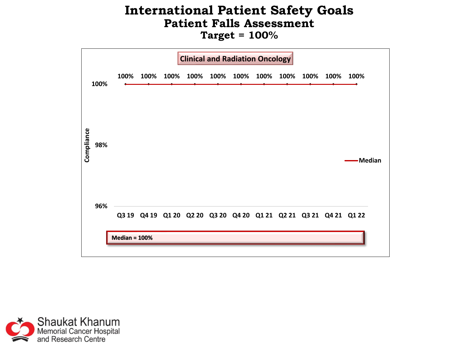#### **International Patient Safety Goals Patient Falls Assessment Target = 100%**



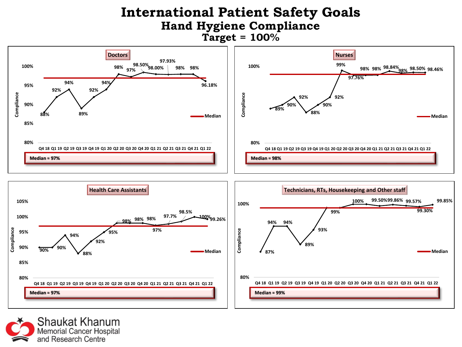#### **International Patient Safety Goals Hand Hygiene Compliance Target = 100%**



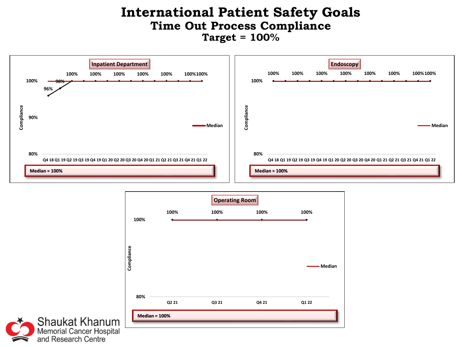#### **International Patient Safety Goals Time Out Process Compliance Target = 100%**





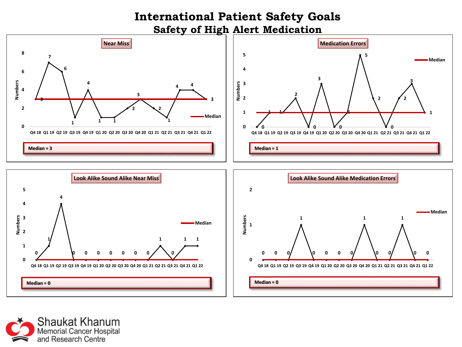#### **International Patient Safety Goals Safety of High Alert Medication**



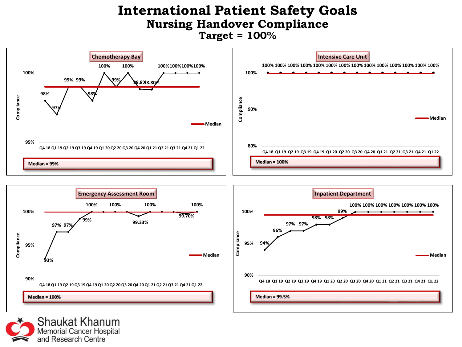#### **International Patient Safety Goals Nursing Handover Compliance Target = 100%**



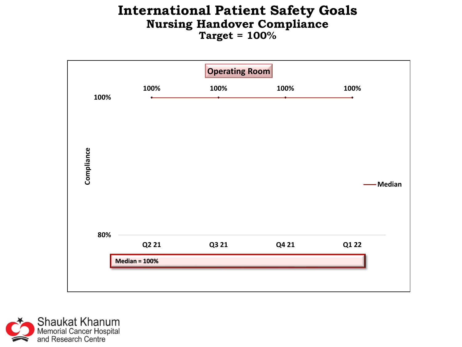#### **International Patient Safety Goals Nursing Handover Compliance Target = 100%**



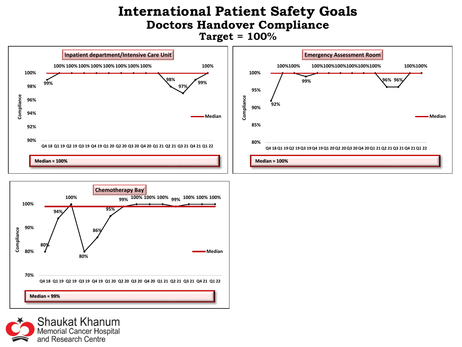#### **International Patient Safety Goals Doctors Handover Compliance Target = 100%**





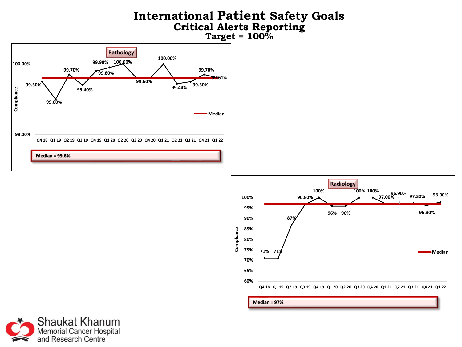



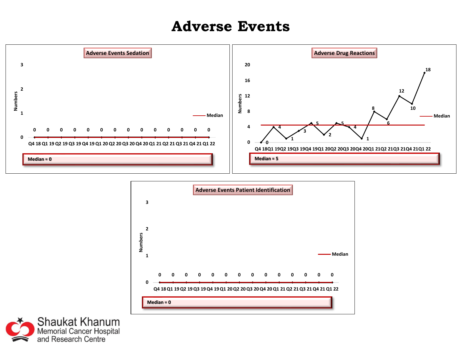### **Adverse Events**





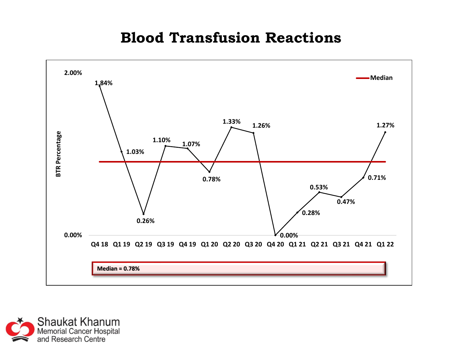### **Blood Transfusion Reactions**



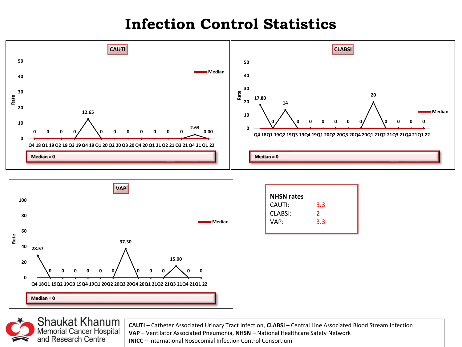# **Infection Control Statistics**





| <b>NHSN rates</b> |               |
|-------------------|---------------|
| CAUTI:            | 3.3           |
| <b>CLABSI:</b>    | $\mathcal{P}$ |
| VAP:              | 3.3           |
|                   |               |



**CAUTI** – Catheter Associated Urinary Tract Infection, **CLABSI** – Central Line Associated Blood Stream Infection **VAP** – Ventilator Associated Pneumonia, **NHSN** – National Healthcare Safety Network

**INICC** – International Nosocomial Infection Control Consortium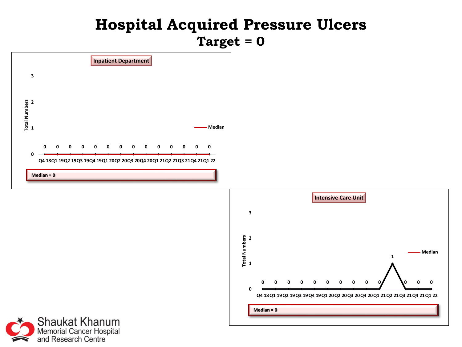## **Hospital Acquired Pressure Ulcers Target = 0**

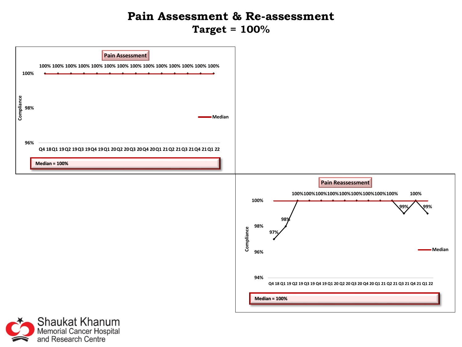#### **Pain Assessment & Re-assessment Target = 100%**



Shaukat Khanum<br>Memorial Cancer Hospital<br>and Research Centre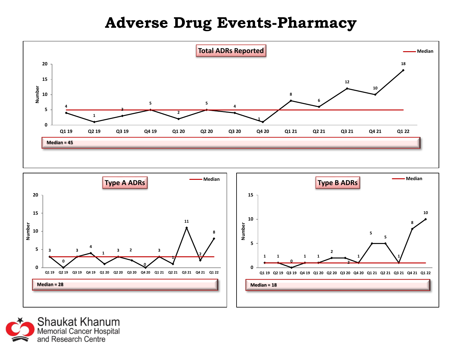# **Adverse Drug Events-Pharmacy**





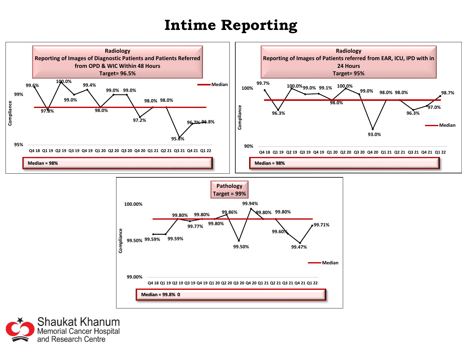# **Intime Reporting**



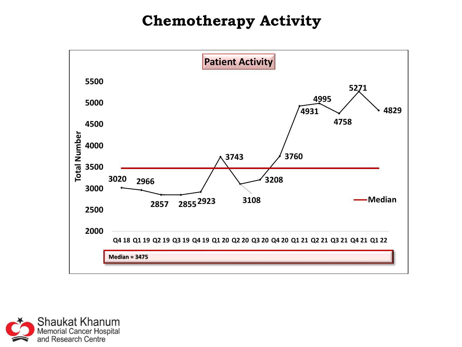# **Chemotherapy Activity**



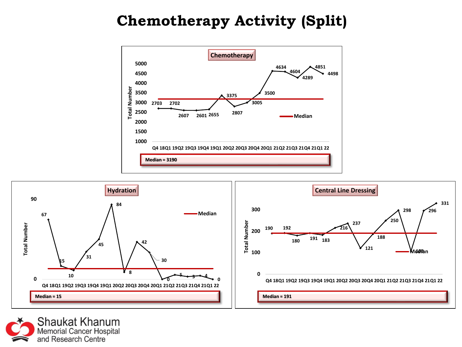# **Chemotherapy Activity (Split)**





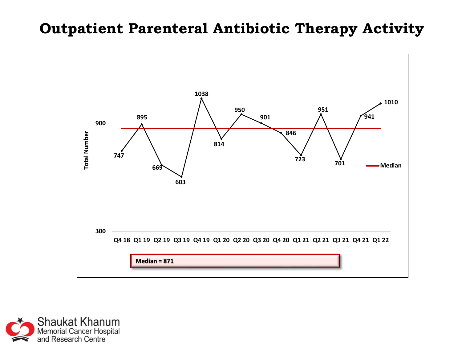### **Outpatient Parenteral Antibiotic Therapy Activity**



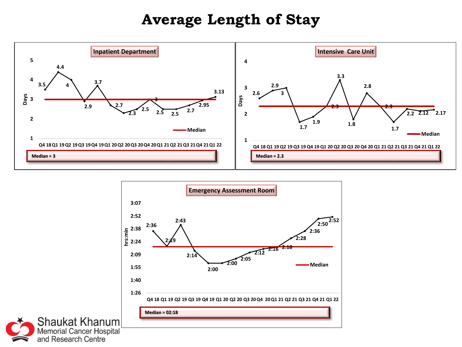## **Average Length of Stay**





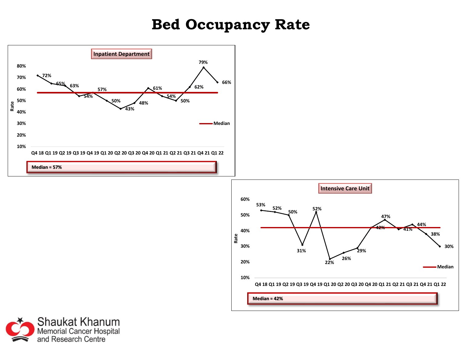## **Bed Occupancy Rate**





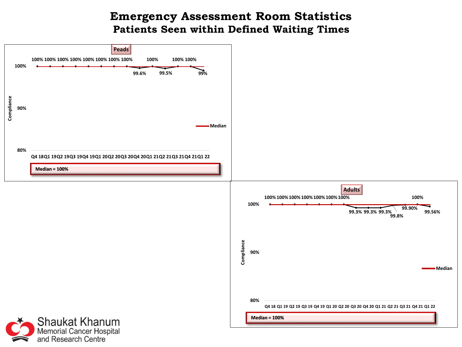#### **Emergency Assessment Room Statistics Patients Seen within Defined Waiting Times**

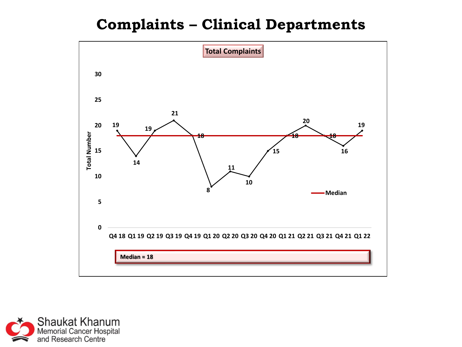# **Complaints – Clinical Departments**



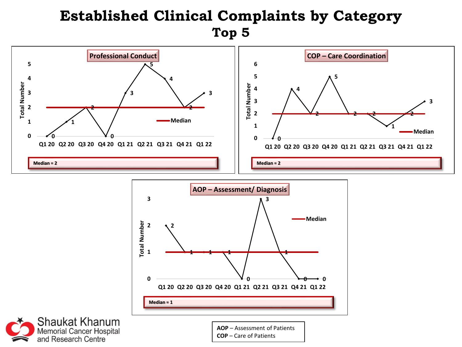# **Established Clinical Complaints by Category Top 5**







**AOP** – Assessment of Patients **COP** – Care of Patients